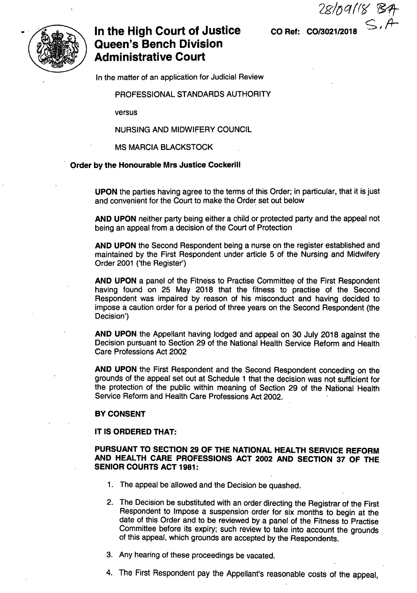**CO Ref: CO/3021/2018** S.A



# **In the High Court of Justice Queen's Bench Division Administrative Court**

In the matter of an application for Judicial Review

PROFESSIONAL STANDARDS AUTHORITY

versus

**NURSING AND MIDWIFERY COUNCIL**

**MS MARCIA BLACKSTOCK**

**Order by the Honourable Mrs Justice Cockerill**

UPON the parties having agree to the terms of this Order; in particular, that it is just and convenient for the Court to make the Order set out below

AND UPON neither party being either a child or protected party and the appeal not being an appeal from a decision of the Court of Protection

AND UPON the Second Respondent being a nurse on the register established and maintained by the First Respondent under article 5 of the Nursing and Midwifery Order 2001 ('the Register')

AND UPON a panel of the Fitness to Practise Committee of the First Respondent having found on 25 May 2018 that the fitness to practise of the Second Respondent was impaired by reason of his misconduct and having decided to impose a caution order for a period of three years on the Second Respondent (the Decision')

AND UPON the Appellant having lodged and appeal on 30 July 2018 against the Decision pursuant to Section 29 of the National Health Service Reform and Health Care Professions Act 2002

AND UPON the First Respondent and the Second Respondent conceding on the grounds of the appeal set out at Schedule <sup>1</sup> that the decision was not sufficient for the protection of the public within meaning of Section 29 of the National Health Service Reform and Health Care Professions Act 2002.

#### **BY CONSENT**

#### **IT IS ORDERED THAT:**

### **PURSUANT TO SECTION 29 OF THE NATIONAL HEALTH SERVICE REFORM AND HEALTH CARE PROFESSIONS ACT 2002 AND SECTION 37 OF THE SENIOR COURTS ACT 1981:**

- 1. The appeal be allowed and the Decision be quashed.
- 2. The Decision be substituted with an order directing the Registrar of the First Respondent to Impose a suspension order for six months to begin at the date of this Order and to be reviewed by a panel of the Fitness to Practise Committee before its expiry; such review to take into account the grounds of this appeal, which grounds are accepted by the Respondents.
- 3. Any hearing of these proceedings be vacated.
- 4. The First Respondent pay the Appellant's reasonable costs of the appeal,